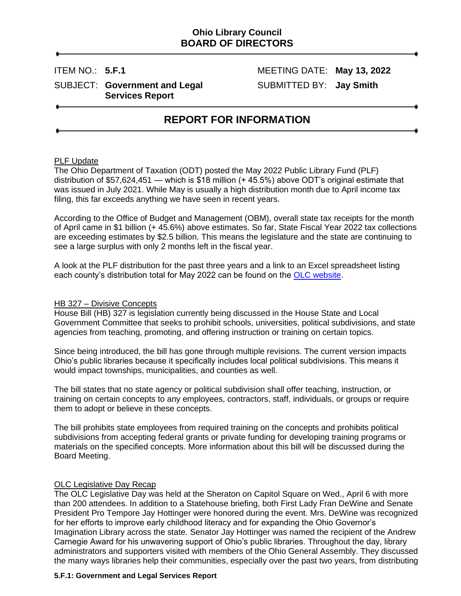## **Ohio Library Council BOARD OF DIRECTORS**

### SUBJECT: Government and Legal SUBMITTED BY: Jay Smith **Services Report**

ITEM NO.: **5.F.1** MEETING DATE: **May 13, 2022**

# **REPORT FOR INFORMATION**

#### PLF Update

The Ohio Department of Taxation (ODT) posted the May 2022 Public Library Fund (PLF) distribution of \$57,624,451 — which is \$18 million (+ 45.5%) above ODT's original estimate that was issued in July 2021. While May is usually a high distribution month due to April income tax filing, this far exceeds anything we have seen in recent years.

According to the Office of Budget and Management (OBM), overall state tax receipts for the month of April came in \$1 billion (+ 45.6%) above estimates. So far, State Fiscal Year 2022 tax collections are exceeding estimates by \$2.5 billion. This means the legislature and the state are continuing to see a large surplus with only 2 months left in the fiscal year.

A look at the PLF distribution for the past three years and a link to an Excel spreadsheet listing each county's distribution total for May 2022 can be found on the [OLC website.](https://olc.org/funding/)

#### HB 327 – Divisive Concepts

House Bill (HB) 327 is legislation currently being discussed in the House State and Local Government Committee that seeks to prohibit schools, universities, political subdivisions, and state agencies from teaching, promoting, and offering instruction or training on certain topics.

Since being introduced, the bill has gone through multiple revisions. The current version impacts Ohio's public libraries because it specifically includes local political subdivisions. This means it would impact townships, municipalities, and counties as well.

The bill states that no state agency or political subdivision shall offer teaching, instruction, or training on certain concepts to any employees, contractors, staff, individuals, or groups or require them to adopt or believe in these concepts.

The bill prohibits state employees from required training on the concepts and prohibits political subdivisions from accepting federal grants or private funding for developing training programs or materials on the specified concepts. More information about this bill will be discussed during the Board Meeting.

#### OLC Legislative Day Recap

The OLC Legislative Day was held at the Sheraton on Capitol Square on Wed., April 6 with more than 200 attendees. In addition to a Statehouse briefing, both First Lady Fran DeWine and Senate President Pro Tempore Jay Hottinger were honored during the event. Mrs. DeWine was recognized for her efforts to improve early childhood literacy and for expanding the Ohio Governor's Imagination Library across the state. Senator Jay Hottinger was named the recipient of the Andrew Carnegie Award for his unwavering support of Ohio's public libraries. Throughout the day, library administrators and supporters visited with members of the Ohio General Assembly. They discussed the many ways libraries help their communities, especially over the past two years, from distributing

#### **5.F.1: Government and Legal Services Report**